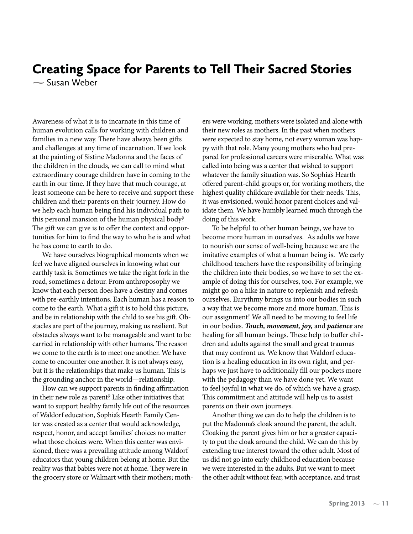## Creating Space for Parents to Tell Their Sacred Stories **-** Susan Weber

Awareness of what it is to incarnate in this time of human evolution calls for working with children and families in a new way. There have always been gifts and challenges at any time of incarnation. If we look at the painting of Sistine Madonna and the faces of the children in the clouds, we can call to mind what extraordinary courage children have in coming to the earth in our time. If they have that much courage, at least someone can be here to receive and support these children and their parents on their journey. How do we help each human being find his individual path to this personal mansion of the human physical body? The gift we can give is to offer the context and opportunities for him to find the way to who he is and what he has come to earth to do.

We have ourselves biographical moments when we feel we have aligned ourselves in knowing what our earthly task is. Sometimes we take the right fork in the road, sometimes a detour. From anthroposophy we know that each person does have a destiny and comes with pre-earthly intentions. Each human has a reason to come to the earth. What a gift it is to hold this picture, and be in relationship with the child to see his gift. Obstacles are part of the journey, making us resilient. But obstacles always want to be manageable and want to be carried in relationship with other humans. The reason we come to the earth is to meet one another. We have come to encounter one another. It is not always easy, but it is the relationships that make us human. This is the grounding anchor in the world—relationship.

How can we support parents in finding affirmation in their new role as parent? Like other initiatives that want to support healthy family life out of the resources of Waldorf education, Sophia's Hearth Family Center was created as a center that would acknowledge, respect, honor, and accept families' choices no matter what those choices were. When this center was envisioned, there was a prevailing attitude among Waldorf educators that young children belong at home. But the reality was that babies were not at home. They were in the grocery store or Walmart with their mothers; mothers were working. mothers were isolated and alone with their new roles as mothers. In the past when mothers were expected to stay home, not every woman was happy with that role. Many young mothers who had prepared for professional careers were miserable. What was called into being was a center that wished to support whatever the family situation was. So Sophia's Hearth offered parent-child groups or, for working mothers, the highest quality childcare available for their needs. This, it was envisioned, would honor parent choices and validate them. We have humbly learned much through the doing of this work.

To be helpful to other human beings, we have to become more human in ourselves. As adults we have to nourish our sense of well-being because we are the imitative examples of what a human being is. We early childhood teachers have the responsibility of bringing the children into their bodies, so we have to set the example of doing this for ourselves, too. For example, we might go on a hike in nature to replenish and refresh ourselves. Eurythmy brings us into our bodies in such a way that we become more and more human. This is our assignment! We all need to be moving to feel life in our bodies. *Touch, movement, joy,* and *patience* are healing for all human beings. These help to buffer children and adults against the small and great traumas that may confront us. We know that Waldorf education is a healing education in its own right, and perhaps we just have to additionally fill our pockets more with the pedagogy than we have done yet. We want to feel joyful in what we do, of which we have a grasp. This commitment and attitude will help us to assist parents on their own journeys.

Another thing we can do to help the children is to put the Madonna's cloak around the parent, the adult. Cloaking the parent gives him or her a greater capacity to put the cloak around the child. We can do this by extending true interest toward the other adult. Most of us did not go into early childhood education because we were interested in the adults. But we want to meet the other adult without fear, with acceptance, and trust